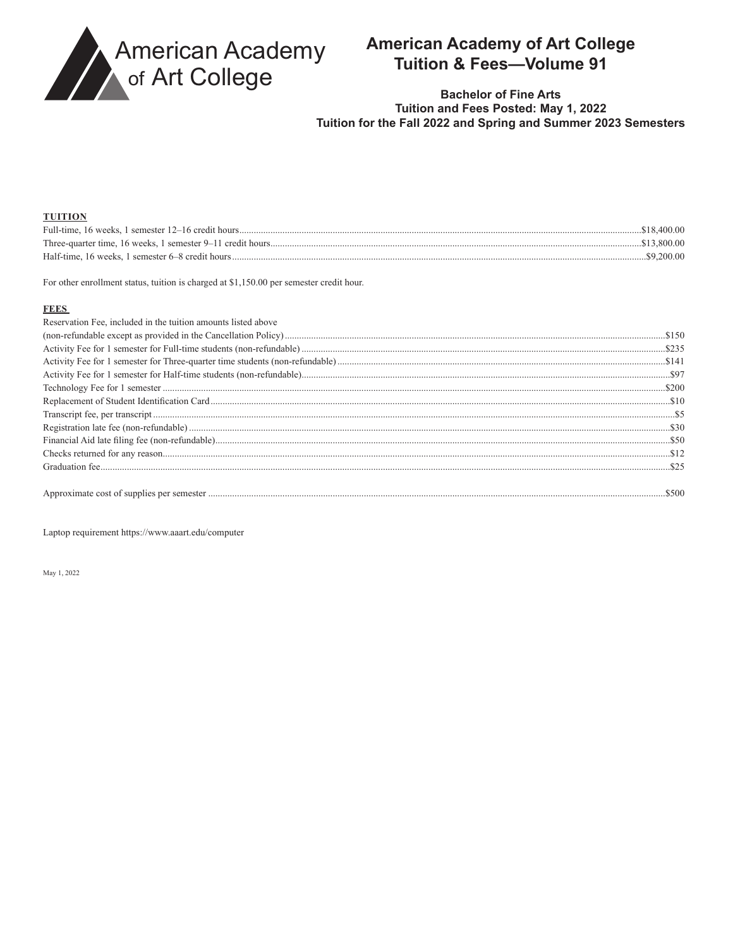

## **American Academy of Art College** Tuition & Fees-Volume 91

### **Bachelor of Fine Arts** Tuition and Fees Posted: May 1, 2022 Tuition for the Fall 2022 and Spring and Summer 2023 Semesters

#### **THITION**

| <u>10111011</u> |              |
|-----------------|--------------|
|                 | .\$18.400.00 |
|                 | .\$13.800.00 |
|                 | .\$9.200.00  |

For other enrollment status, tuition is charged at \$1,150.00 per semester credit hour.

#### **FEES**

| Reservation Fee, included in the tuition amounts listed above |  |
|---------------------------------------------------------------|--|
|                                                               |  |
|                                                               |  |
|                                                               |  |
|                                                               |  |
|                                                               |  |
|                                                               |  |
|                                                               |  |
|                                                               |  |
|                                                               |  |
|                                                               |  |
|                                                               |  |
|                                                               |  |
|                                                               |  |

Laptop requirement https://www.aaart.edu/computer

May 1, 2022